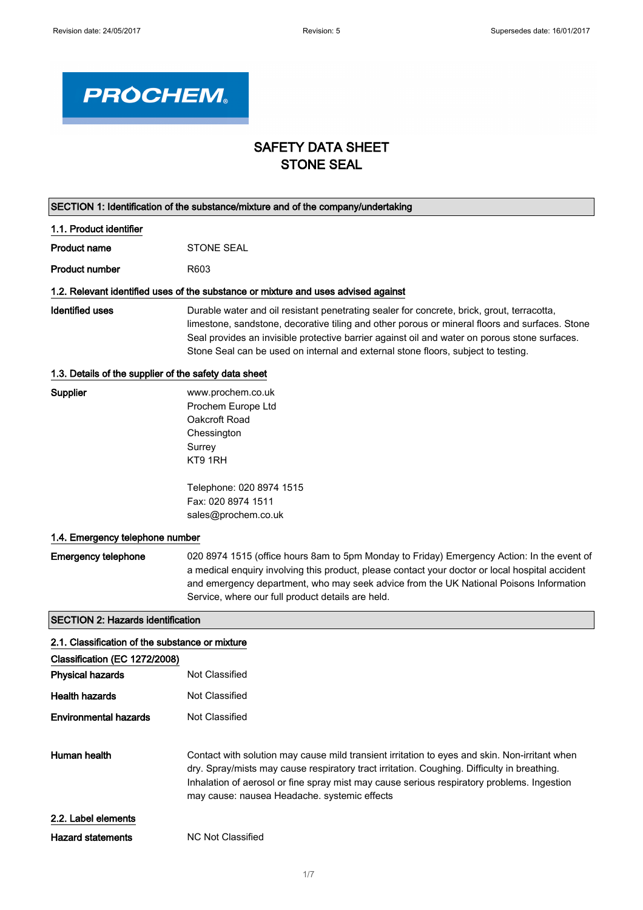٦



## SAFETY DATA SHEET STONE SEAL

| SECTION 1: Identification of the substance/mixture and of the company/undertaking |                                                                                                                                                                                                                                                                                                                                                                                    |
|-----------------------------------------------------------------------------------|------------------------------------------------------------------------------------------------------------------------------------------------------------------------------------------------------------------------------------------------------------------------------------------------------------------------------------------------------------------------------------|
| 1.1. Product identifier                                                           |                                                                                                                                                                                                                                                                                                                                                                                    |
| <b>Product name</b>                                                               | <b>STONE SEAL</b>                                                                                                                                                                                                                                                                                                                                                                  |
| <b>Product number</b>                                                             | R603                                                                                                                                                                                                                                                                                                                                                                               |
|                                                                                   | 1.2. Relevant identified uses of the substance or mixture and uses advised against                                                                                                                                                                                                                                                                                                 |
| <b>Identified uses</b>                                                            | Durable water and oil resistant penetrating sealer for concrete, brick, grout, terracotta,<br>limestone, sandstone, decorative tiling and other porous or mineral floors and surfaces. Stone<br>Seal provides an invisible protective barrier against oil and water on porous stone surfaces.<br>Stone Seal can be used on internal and external stone floors, subject to testing. |
| 1.3. Details of the supplier of the safety data sheet                             |                                                                                                                                                                                                                                                                                                                                                                                    |
| Supplier                                                                          | www.prochem.co.uk<br>Prochem Europe Ltd<br>Oakcroft Road<br>Chessington<br>Surrey<br>KT9 1RH                                                                                                                                                                                                                                                                                       |
|                                                                                   | Telephone: 020 8974 1515<br>Fax: 020 8974 1511<br>sales@prochem.co.uk                                                                                                                                                                                                                                                                                                              |
|                                                                                   |                                                                                                                                                                                                                                                                                                                                                                                    |
| 1.4. Emergency telephone number                                                   |                                                                                                                                                                                                                                                                                                                                                                                    |
| <b>Emergency telephone</b>                                                        | 020 8974 1515 (office hours 8am to 5pm Monday to Friday) Emergency Action: In the event of<br>a medical enquiry involving this product, please contact your doctor or local hospital accident<br>and emergency department, who may seek advice from the UK National Poisons Information<br>Service, where our full product details are held.                                       |
| <b>SECTION 2: Hazards identification</b>                                          |                                                                                                                                                                                                                                                                                                                                                                                    |
| 2.1. Classification of the substance or mixture                                   |                                                                                                                                                                                                                                                                                                                                                                                    |
| Classification (EC 1272/2008)                                                     |                                                                                                                                                                                                                                                                                                                                                                                    |
| <b>Physical hazards</b>                                                           | Not Classified                                                                                                                                                                                                                                                                                                                                                                     |
| <b>Health hazards</b>                                                             | Not Classified                                                                                                                                                                                                                                                                                                                                                                     |
| <b>Environmental hazards</b>                                                      | Not Classified                                                                                                                                                                                                                                                                                                                                                                     |
| Human health                                                                      | Contact with solution may cause mild transient irritation to eyes and skin. Non-irritant when<br>dry. Spray/mists may cause respiratory tract irritation. Coughing. Difficulty in breathing.<br>Inhalation of aerosol or fine spray mist may cause serious respiratory problems. Ingestion<br>may cause: nausea Headache. systemic effects                                         |
| 2.2. Label elements                                                               |                                                                                                                                                                                                                                                                                                                                                                                    |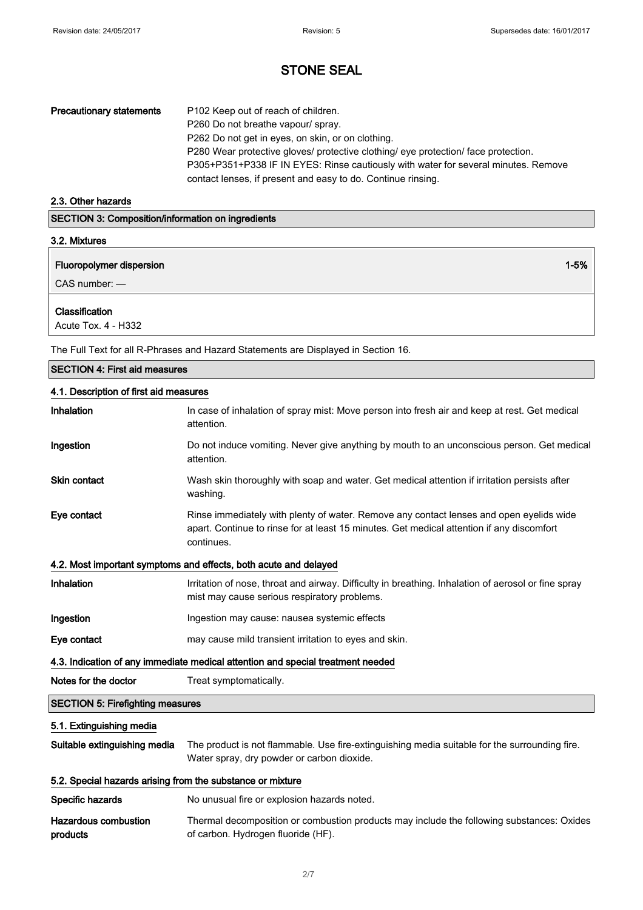| <b>Precautionary statements</b> | P102 Keep out of reach of children.                                                |
|---------------------------------|------------------------------------------------------------------------------------|
|                                 |                                                                                    |
|                                 | P260 Do not breathe vapour/ spray.                                                 |
|                                 | P262 Do not get in eyes, on skin, or on clothing.                                  |
|                                 | P280 Wear protective gloves/ protective clothing/ eye protection/ face protection. |
|                                 | P305+P351+P338 IF IN EYES: Rinse cautiously with water for several minutes. Remove |
|                                 | contact lenses, if present and easy to do. Continue rinsing.                       |

## 2.3. Other hazards

| <b>SECTION 3: Composition/information on ingredients</b><br>3.2. Mixtures |  |
|---------------------------------------------------------------------------|--|
|                                                                           |  |
| $CAS$ number: $-$                                                         |  |
| Classification<br>Acute Tox. 4 - H332                                     |  |

The Full Text for all R-Phrases and Hazard Statements are Displayed in Section 16.

| <b>SECTION 4: First aid measures</b>                       |                                                                                                                                                                                                    |
|------------------------------------------------------------|----------------------------------------------------------------------------------------------------------------------------------------------------------------------------------------------------|
| 4.1. Description of first aid measures                     |                                                                                                                                                                                                    |
| Inhalation                                                 | In case of inhalation of spray mist: Move person into fresh air and keep at rest. Get medical<br>attention.                                                                                        |
| Ingestion                                                  | Do not induce vomiting. Never give anything by mouth to an unconscious person. Get medical<br>attention.                                                                                           |
| <b>Skin contact</b>                                        | Wash skin thoroughly with soap and water. Get medical attention if irritation persists after<br>washing.                                                                                           |
| Eye contact                                                | Rinse immediately with plenty of water. Remove any contact lenses and open eyelids wide<br>apart. Continue to rinse for at least 15 minutes. Get medical attention if any discomfort<br>continues. |
|                                                            | 4.2. Most important symptoms and effects, both acute and delayed                                                                                                                                   |
| Inhalation                                                 | Irritation of nose, throat and airway. Difficulty in breathing. Inhalation of aerosol or fine spray<br>mist may cause serious respiratory problems.                                                |
| Ingestion                                                  | Ingestion may cause: nausea systemic effects                                                                                                                                                       |
| Eye contact                                                | may cause mild transient irritation to eyes and skin.                                                                                                                                              |
|                                                            | 4.3. Indication of any immediate medical attention and special treatment needed                                                                                                                    |
| Notes for the doctor                                       | Treat symptomatically.                                                                                                                                                                             |
| <b>SECTION 5: Firefighting measures</b>                    |                                                                                                                                                                                                    |
| 5.1. Extinguishing media                                   |                                                                                                                                                                                                    |
| Suitable extinguishing media                               | The product is not flammable. Use fire-extinguishing media suitable for the surrounding fire.<br>Water spray, dry powder or carbon dioxide.                                                        |
| 5.2. Special hazards arising from the substance or mixture |                                                                                                                                                                                                    |
| Specific hazards                                           | No unusual fire or explosion hazards noted.                                                                                                                                                        |
| <b>Hazardous combustion</b><br>products                    | Thermal decomposition or combustion products may include the following substances: Oxides<br>of carbon. Hydrogen fluoride (HF).                                                                    |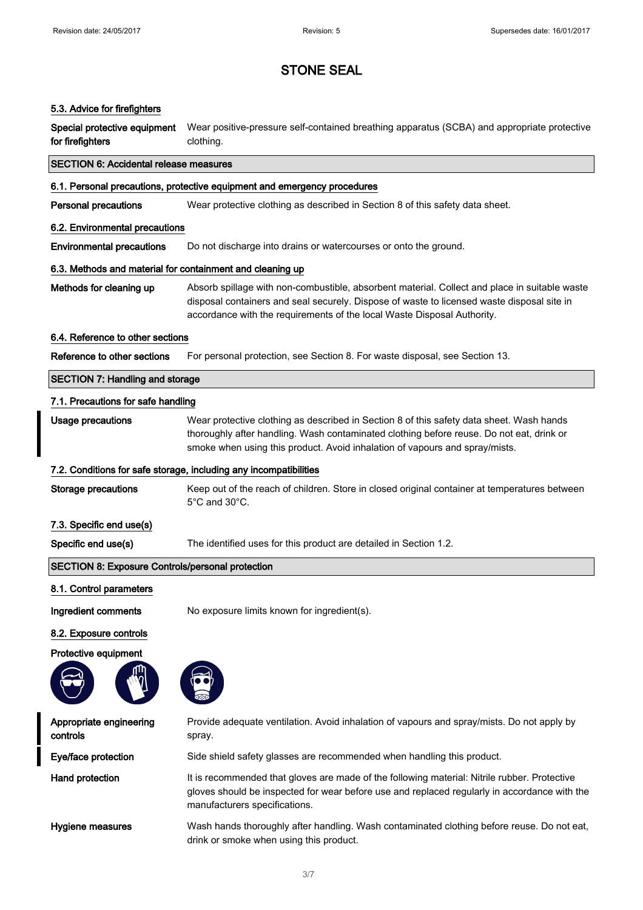#### 5.3. Advice for firefighters

Special protective equipment for firefighters Wear positive-pressure self-contained breathing apparatus (SCBA) and appropriate protective clothing.

| <b>SECTION 6: Accidental release measures</b>                            |                                                                                                                                                                                                                                                                        |
|--------------------------------------------------------------------------|------------------------------------------------------------------------------------------------------------------------------------------------------------------------------------------------------------------------------------------------------------------------|
| 6.1. Personal precautions, protective equipment and emergency procedures |                                                                                                                                                                                                                                                                        |
| <b>Personal precautions</b>                                              | Wear protective clothing as described in Section 8 of this safety data sheet.                                                                                                                                                                                          |
| 6.2. Environmental precautions                                           |                                                                                                                                                                                                                                                                        |
| <b>Environmental precautions</b>                                         | Do not discharge into drains or watercourses or onto the ground.                                                                                                                                                                                                       |
| 6.3. Methods and material for containment and cleaning up                |                                                                                                                                                                                                                                                                        |
| Methods for cleaning up                                                  | Absorb spillage with non-combustible, absorbent material. Collect and place in suitable waste<br>disposal containers and seal securely. Dispose of waste to licensed waste disposal site in<br>accordance with the requirements of the local Waste Disposal Authority. |
| 6.4. Reference to other sections                                         |                                                                                                                                                                                                                                                                        |
| Reference to other sections                                              | For personal protection, see Section 8. For waste disposal, see Section 13.                                                                                                                                                                                            |
| <b>SECTION 7: Handling and storage</b>                                   |                                                                                                                                                                                                                                                                        |
| 7.1. Precautions for safe handling                                       |                                                                                                                                                                                                                                                                        |
| <b>Usage precautions</b>                                                 | Wear protective clothing as described in Section 8 of this safety data sheet. Wash hands<br>thoroughly after handling. Wash contaminated clothing before reuse. Do not eat, drink or<br>smoke when using this product. Avoid inhalation of vapours and spray/mists.    |
|                                                                          | 7.2. Conditions for safe storage, including any incompatibilities                                                                                                                                                                                                      |
| <b>Storage precautions</b>                                               | Keep out of the reach of children. Store in closed original container at temperatures between<br>$5^{\circ}$ C and $30^{\circ}$ C.                                                                                                                                     |
| 7.3. Specific end use(s)                                                 |                                                                                                                                                                                                                                                                        |
| Specific end use(s)                                                      | The identified uses for this product are detailed in Section 1.2.                                                                                                                                                                                                      |
| <b>SECTION 8: Exposure Controls/personal protection</b>                  |                                                                                                                                                                                                                                                                        |
| 8.1. Control parameters                                                  |                                                                                                                                                                                                                                                                        |
| Ingredient comments                                                      | No exposure limits known for ingredient(s).                                                                                                                                                                                                                            |
| 8.2. Exposure controls                                                   |                                                                                                                                                                                                                                                                        |
| <b>Protective equipment</b>                                              |                                                                                                                                                                                                                                                                        |





Appropriate engineering controls Provide adequate ventilation. Avoid inhalation of vapours and spray/mists. Do not apply by spray. Eye/face protection Side shield safety glasses are recommended when handling this product. Hand protection It is recommended that gloves are made of the following material: Nitrile rubber. Protective gloves should be inspected for wear before use and replaced regularly in accordance with the manufacturers specifications. Hygiene measures **Wash hands thoroughly after handling. Wash contaminated clothing before reuse. Do not eat,** 

drink or smoke when using this product.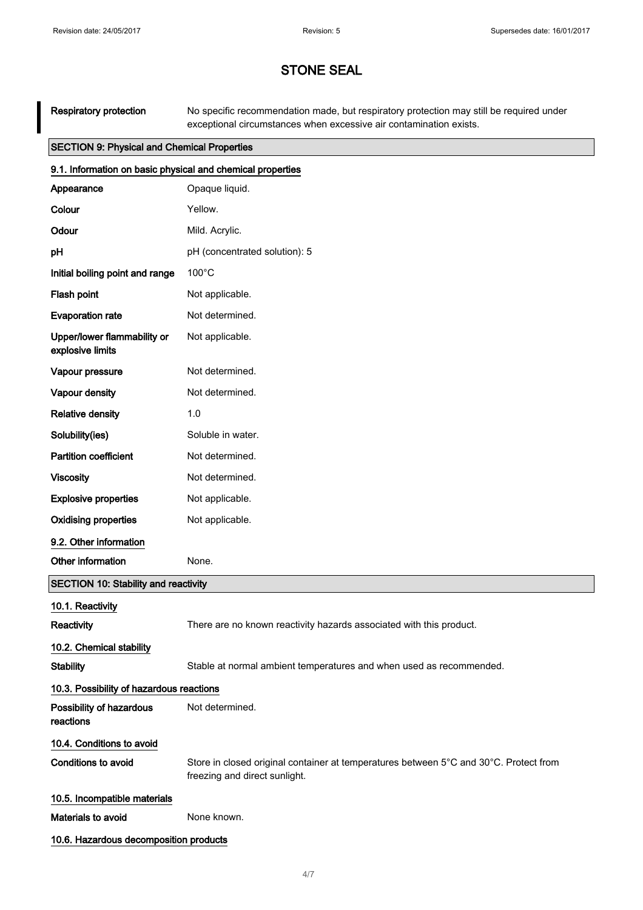Respiratory protection No specific recommendation made, but respiratory protection may still be required under exceptional circumstances when excessive air contamination exists.

| <b>SECTION 9: Physical and Chemical Properties</b>         |                                                                                                                        |
|------------------------------------------------------------|------------------------------------------------------------------------------------------------------------------------|
| 9.1. Information on basic physical and chemical properties |                                                                                                                        |
| Appearance                                                 | Opaque liquid.                                                                                                         |
| Colour                                                     | Yellow.                                                                                                                |
| Odour                                                      | Mild. Acrylic.                                                                                                         |
| рH                                                         | pH (concentrated solution): 5                                                                                          |
| Initial boiling point and range                            | $100^{\circ}$ C                                                                                                        |
| Flash point                                                | Not applicable.                                                                                                        |
| <b>Evaporation rate</b>                                    | Not determined.                                                                                                        |
| Upper/lower flammability or<br>explosive limits            | Not applicable.                                                                                                        |
| Vapour pressure                                            | Not determined.                                                                                                        |
| Vapour density                                             | Not determined.                                                                                                        |
| <b>Relative density</b>                                    | 1.0                                                                                                                    |
| Solubility(ies)                                            | Soluble in water.                                                                                                      |
| <b>Partition coefficient</b>                               | Not determined.                                                                                                        |
| <b>Viscosity</b>                                           | Not determined.                                                                                                        |
| <b>Explosive properties</b>                                | Not applicable.                                                                                                        |
| <b>Oxidising properties</b>                                | Not applicable.                                                                                                        |
| 9.2. Other information                                     |                                                                                                                        |
| Other information                                          | None.                                                                                                                  |
| <b>SECTION 10: Stability and reactivity</b>                |                                                                                                                        |
| 10.1. Reactivity                                           |                                                                                                                        |
| Reactivity                                                 | There are no known reactivity hazards associated with this product.                                                    |
| 10.2. Chemical stability                                   |                                                                                                                        |
| <b>Stability</b>                                           | Stable at normal ambient temperatures and when used as recommended.                                                    |
| 10.3. Possibility of hazardous reactions                   |                                                                                                                        |
| Possibility of hazardous<br>reactions                      | Not determined.                                                                                                        |
| 10.4. Conditions to avoid                                  |                                                                                                                        |
| Conditions to avoid                                        | Store in closed original container at temperatures between 5°C and 30°C. Protect from<br>freezing and direct sunlight. |
| 10.5. Incompatible materials                               |                                                                                                                        |
| Materials to avoid                                         | None known.                                                                                                            |
| 10.6. Hazardous decomposition products                     |                                                                                                                        |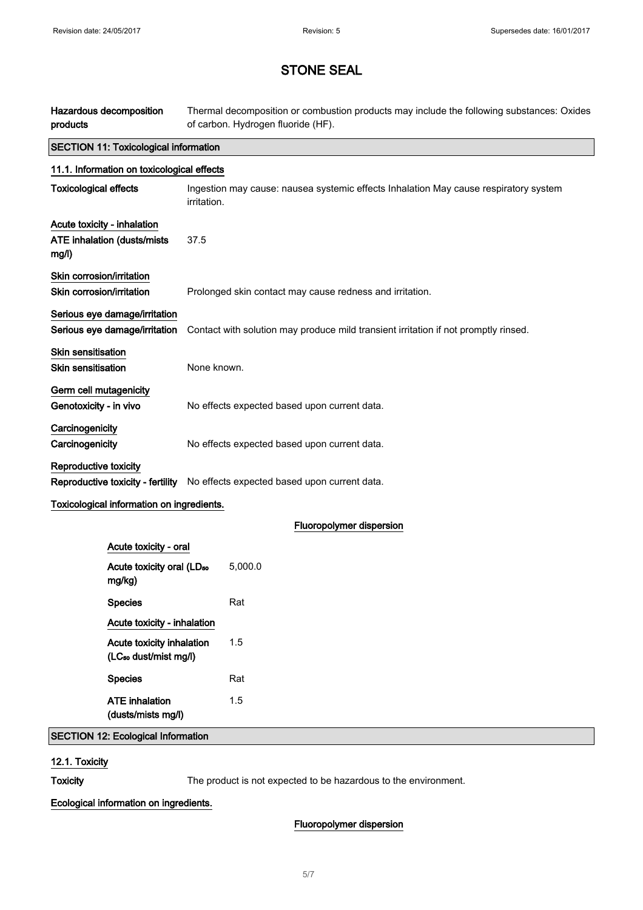| Hazardous decomposition<br>products                                 | Thermal decomposition or combustion products may include the following substances: Oxides<br>of carbon. Hydrogen fluoride (HF). |
|---------------------------------------------------------------------|---------------------------------------------------------------------------------------------------------------------------------|
| <b>SECTION 11: Toxicological information</b>                        |                                                                                                                                 |
| 11.1. Information on toxicological effects                          |                                                                                                                                 |
| <b>Toxicological effects</b>                                        | Ingestion may cause: nausea systemic effects Inhalation May cause respiratory system<br>irritation.                             |
| Acute toxicity - inhalation<br>ATE inhalation (dusts/mists<br>mg/l) | 37.5                                                                                                                            |
| Skin corrosion/irritation<br>Skin corrosion/irritation              | Prolonged skin contact may cause redness and irritation.                                                                        |
| Serious eye damage/irritation<br>Serious eye damage/irritation      | Contact with solution may produce mild transient irritation if not promptly rinsed.                                             |
| Skin sensitisation<br><b>Skin sensitisation</b>                     | None known.                                                                                                                     |
| Germ cell mutagenicity<br>Genotoxicity - in vivo                    | No effects expected based upon current data.                                                                                    |
| Carcinogenicity<br>Carcinogenicity                                  | No effects expected based upon current data.                                                                                    |
| Reproductive toxicity<br>Reproductive toxicity - fertility          | No effects expected based upon current data.                                                                                    |
| Toxicological information on ingredients.                           |                                                                                                                                 |
|                                                                     | Fluoropolymer dispersion                                                                                                        |
| Acute toxicity - oral                                               |                                                                                                                                 |
| Acute toxicity oral (LD <sub>50</sub><br>mg/kg)                     | 5,000.0                                                                                                                         |
| <b>Species</b>                                                      | Rat                                                                                                                             |
| Acute toxicity - inhalation                                         |                                                                                                                                 |
| Acute toxicity inhalation<br>(LC <sub>so</sub> dust/mist mg/l)      | 1.5                                                                                                                             |
| <b>Species</b>                                                      | Rat                                                                                                                             |
| <b>ATE</b> inhalation<br>(dusts/mists mg/l)                         | 1.5                                                                                                                             |
| <b>SECTION 12: Ecological Information</b>                           |                                                                                                                                 |

12.1. Toxicity

Toxicity The product is not expected to be hazardous to the environment.

Ecological information on ingredients.

## Fluoropolymer dispersion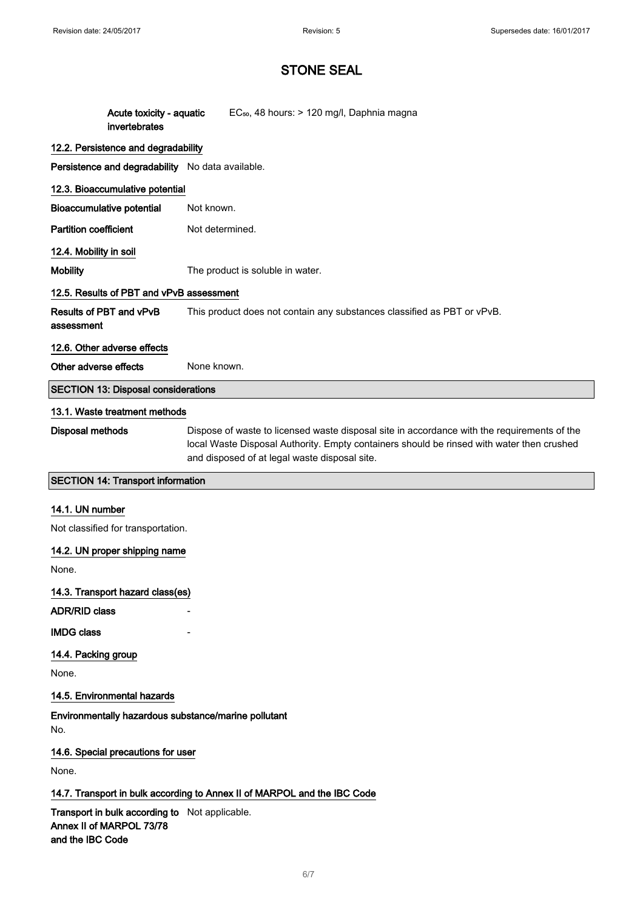and the IBC Code

## STONE SEAL

| Acute toxicity - aquatic                                                                | EC <sub>50</sub> , 48 hours: > 120 mg/l, Daphnia magna                                                                                                                                                                                    |
|-----------------------------------------------------------------------------------------|-------------------------------------------------------------------------------------------------------------------------------------------------------------------------------------------------------------------------------------------|
| invertebrates                                                                           |                                                                                                                                                                                                                                           |
| 12.2. Persistence and degradability<br>Persistence and degradability No data available. |                                                                                                                                                                                                                                           |
|                                                                                         |                                                                                                                                                                                                                                           |
| 12.3. Bioaccumulative potential                                                         | Not known.                                                                                                                                                                                                                                |
| <b>Bioaccumulative potential</b>                                                        |                                                                                                                                                                                                                                           |
| <b>Partition coefficient</b>                                                            | Not determined.                                                                                                                                                                                                                           |
| 12.4. Mobility in soil                                                                  |                                                                                                                                                                                                                                           |
| <b>Mobility</b>                                                                         | The product is soluble in water.                                                                                                                                                                                                          |
| 12.5. Results of PBT and vPvB assessment                                                |                                                                                                                                                                                                                                           |
| Results of PBT and vPvB<br>assessment                                                   | This product does not contain any substances classified as PBT or vPvB.                                                                                                                                                                   |
| 12.6. Other adverse effects                                                             |                                                                                                                                                                                                                                           |
| Other adverse effects                                                                   | None known.                                                                                                                                                                                                                               |
| <b>SECTION 13: Disposal considerations</b>                                              |                                                                                                                                                                                                                                           |
| 13.1. Waste treatment methods                                                           |                                                                                                                                                                                                                                           |
| <b>Disposal methods</b>                                                                 | Dispose of waste to licensed waste disposal site in accordance with the requirements of the<br>local Waste Disposal Authority. Empty containers should be rinsed with water then crushed<br>and disposed of at legal waste disposal site. |
| <b>SECTION 14: Transport information</b>                                                |                                                                                                                                                                                                                                           |
| 14.1. UN number                                                                         |                                                                                                                                                                                                                                           |
| Not classified for transportation.                                                      |                                                                                                                                                                                                                                           |
| 14.2. UN proper shipping name                                                           |                                                                                                                                                                                                                                           |
| None.                                                                                   |                                                                                                                                                                                                                                           |
| 14.3. Transport hazard class(es)                                                        |                                                                                                                                                                                                                                           |
| <b>ADR/RID class</b>                                                                    |                                                                                                                                                                                                                                           |
| <b>IMDG class</b>                                                                       |                                                                                                                                                                                                                                           |
| 14.4. Packing group                                                                     |                                                                                                                                                                                                                                           |
| None.                                                                                   |                                                                                                                                                                                                                                           |
| 14.5. Environmental hazards                                                             |                                                                                                                                                                                                                                           |
| Environmentally hazardous substance/marine pollutant<br>No.                             |                                                                                                                                                                                                                                           |
| 14.6. Special precautions for user                                                      |                                                                                                                                                                                                                                           |
| None.                                                                                   |                                                                                                                                                                                                                                           |
|                                                                                         | 14.7. Transport in bulk according to Annex II of MARPOL and the IBC Code                                                                                                                                                                  |
| Transport in bulk according to Not applicable.<br>Annex II of MARPOL 73/78              |                                                                                                                                                                                                                                           |